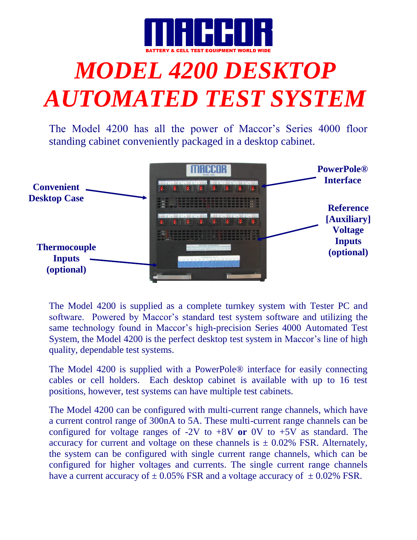

## *MODEL 4200 DESKTOP AUTOMATED TEST SYSTEM*

The Model 4200 has all the power of Maccor's Series 4000 floor standing cabinet conveniently packaged in a desktop cabinet.



The Model 4200 is supplied as a complete turnkey system with Tester PC and software. Powered by Maccor's standard test system software and utilizing the same technology found in Maccor's high-precision Series 4000 Automated Test System, the Model 4200 is the perfect desktop test system in Maccor's line of high quality, dependable test systems.

The Model 4200 is supplied with a PowerPole® interface for easily connecting cables or cell holders. Each desktop cabinet is available with up to 16 test positions, however, test systems can have multiple test cabinets.

The Model 4200 can be configured with multi-current range channels, which have a current control range of 300nA to 5A. These multi-current range channels can be configured for voltage ranges of -2V to +8V **or** 0V to +5V as standard. The accuracy for current and voltage on these channels is  $\pm$  0.02% FSR. Alternately, the system can be configured with single current range channels, which can be configured for higher voltages and currents. The single current range channels have a current accuracy of  $\pm$  0.05% FSR and a voltage accuracy of  $\pm$  0.02% FSR.